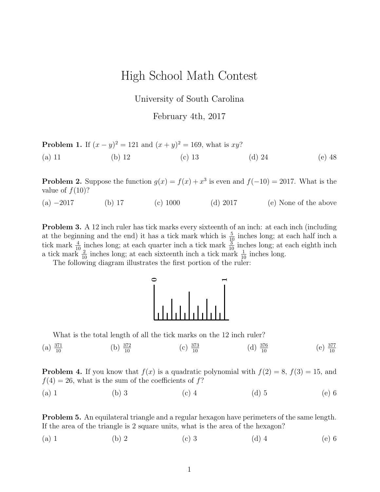## High School Math Contest

University of South Carolina

February 4th, 2017

| <b>Problem 1.</b> If $(x - y)^2 = 121$ and $(x + y)^2 = 169$ , what is xy? |          |          |        |          |
|----------------------------------------------------------------------------|----------|----------|--------|----------|
| $(a)$ 11                                                                   | (b) $12$ | (c) $13$ | (d) 24 | $(e)$ 48 |

**Problem 2.** Suppose the function  $g(x) = f(x) + x^3$  is even and  $f(-10) = 2017$ . What is the value of  $f(10)$ ?

(a) −2017 (b) 17 (c) 1000 (d) 2017 (e) None of the above

Problem 3. A 12 inch ruler has tick marks every sixteenth of an inch: at each inch (including at the beginning and the end) it has a tick mark which is  $\frac{5}{10}$  inches long; at each half inch a tick mark  $\frac{4}{10}$  inches long; at each quarter inch a tick mark  $\frac{3}{10}$  inches long; at each eighth inch a tick mark  $\frac{2}{10}$  inches long; at each sixteenth inch a tick mark  $\frac{1}{10}$  inches long.

The following diagram illustrates the first portion of the ruler:



What is the total length of all the tick marks on the 12 inch ruler?

(a)  $\frac{371}{10}$ (b)  $\frac{372}{10}$ (c)  $\frac{373}{10}$ (d)  $\frac{376}{10}$  $\frac{376}{10}$  (e)  $\frac{377}{10}$ 

**Problem 4.** If you know that  $f(x)$  is a quadratic polynomial with  $f(2) = 8$ ,  $f(3) = 15$ , and  $f(4) = 26$ , what is the sum of the coefficients of f?

(a) 1 (b) 3 (c) 4 (d) 5 (e) 6

**Problem 5.** An equilateral triangle and a regular hexagon have perimeters of the same length. If the area of the triangle is 2 square units, what is the area of the hexagon?

(a) 1 (b) 2 (c) 3 (d) 4 (e) 6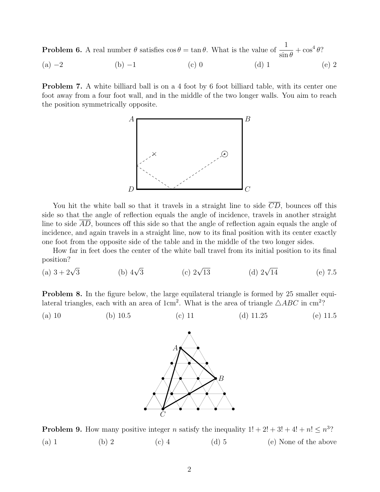**Problem 6.** A real number  $\theta$  satisfies  $\cos \theta = \tan \theta$ . What is the value of  $\frac{1}{1}$  $\sin \theta$  $+\cos^4\theta$ ?

(a)  $-2$  (b)  $-1$  (c) 0 (d) 1 (e) 2

**Problem 7.** A white billiard ball is on a 4 foot by 6 foot billiard table, with its center one foot away from a four foot wall, and in the middle of the two longer walls. You aim to reach the position symmetrically opposite.



You hit the white ball so that it travels in a straight line to side  $\overline{CD}$ , bounces off this side so that the angle of reflection equals the angle of incidence, travels in another straight line to side AD, bounces off this side so that the angle of reflection again equals the angle of incidence, and again travels in a straight line, now to its final position with its center exactly one foot from the opposite side of the table and in the middle of the two longer sides.

How far in feet does the center of the white ball travel from its initial position to its final position?

(a)  $3 + 2\sqrt{3}$ (b)  $4\sqrt{3}$  $\int_0^2 \sqrt{13}$ (d)  $2\sqrt{14}$  $(e)$  7.5

**Problem 8.** In the figure below, the large equilateral triangle is formed by 25 smaller equilateral triangles, each with an area of 1cm<sup>2</sup>. What is the area of triangle  $\triangle ABC$  in cm<sup>2</sup>?

(a) 10 (b) 10.5 (c) 11 (d) 11.25 (e) 11.5



**Problem 9.** How many positive integer *n* satisfy the inequality  $1! + 2! + 3! + 4! + n! \leq n^3$ ? (a) 1 (b) 2 (c) 4 (d) 5 (e) None of the above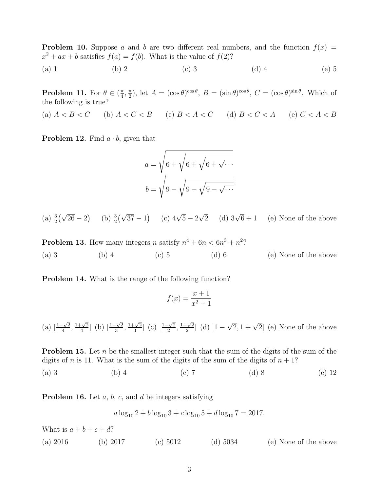**Problem 10.** Suppose a and b are two different real numbers, and the function  $f(x) =$  $x^2 + ax + b$  satisfies  $f(a) = f(b)$ . What is the value of  $f(2)$ ?

(a) 1 (b) 2 (c) 3 (d) 4 (e) 5

**Problem 11.** For  $\theta \in (\frac{\pi}{4})$  $\frac{\pi}{4}, \frac{\pi}{2}$  $(\frac{\pi}{2})$ , let  $A = (\cos \theta)^{\cos \theta}$ ,  $B = (\sin \theta)^{\cos \theta}$ ,  $C = (\cos \theta)^{\sin \theta}$ . Which of the following is true?

(a)  $A < B < C$  (b)  $A < C < B$  (c)  $B < A < C$  (d)  $B < C < A$  (e)  $C < A < B$ 

**Problem 12.** Find  $a \cdot b$ , given that

$$
a = \sqrt{6 + \sqrt{6 + \sqrt{6 + \sqrt{\cdots}}}}
$$

$$
b = \sqrt{9 - \sqrt{9 - \sqrt{9 - \sqrt{\cdots}}}}
$$

(a)  $\frac{3}{2}(\sqrt{26}-2)$  (b)  $\frac{3}{2}(\sqrt{37}-1)$  (c)  $4\sqrt{5}-2$  $\sqrt{2}$  (d)  $3\sqrt{6}+1$  (e) None of the above

**Problem 13.** How many integers n satisfy  $n^4 + 6n < 6n^3 + n^2$ ? (a) 3 (b) 4 (c) 5 (d) 6 (e) None of the above

Problem 14. What is the range of the following function?

$$
f(x) = \frac{x+1}{x^2+1}
$$

(a)  $\left[\frac{1-\sqrt{2}}{4}\right]$  $\frac{\sqrt{2}}{4}$ ,  $\frac{1+\sqrt{2}}{4}$  $\frac{-\sqrt{2}}{4}$ ] (b)  $\left[\frac{1-\sqrt{2}}{3}\right]$  $\frac{\sqrt{2}}{3}, \frac{1+\sqrt{2}}{3}$  $\frac{-\sqrt{2}}{3}$  (c)  $\left[\frac{1-\sqrt{2}}{2}\right]$  $\frac{1+\sqrt{2}}{2}, \frac{1+\sqrt{2}}{2}$  $\frac{-\sqrt{2}}{2}$  (d) [1 –  $\sqrt{2}$ ,  $1 + \sqrt{2}$  (e) None of the above

**Problem 15.** Let n be the smallest integer such that the sum of the digits of the sum of the digits of n is 11. What is the sum of the digits of the sum of the digits of  $n + 1$ ?

(a) 3 (b) 4 (c) 7 (d) 8 (e) 12

**Problem 16.** Let  $a, b, c$ , and  $d$  be integers satisfying

$$
a \log_{10} 2 + b \log_{10} 3 + c \log_{10} 5 + d \log_{10} 7 = 2017.
$$

What is  $a + b + c + d$ ?

(a) 2016 (b) 2017 (c) 5012 (d) 5034 (e) None of the above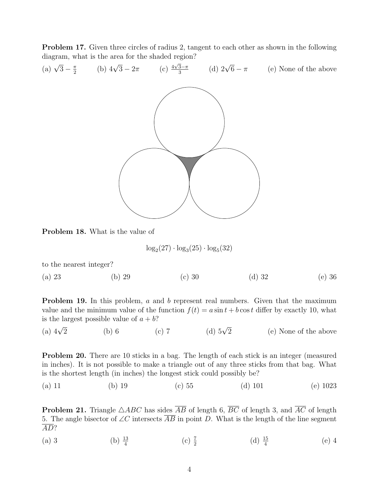Problem 17. Given three circles of radius 2, tangent to each other as shown in the following diagram, what is the area for the shaded region? (a)  $\sqrt{3} - \frac{\pi}{2}$ 



Problem 18. What is the value of

$$
\log_2(27) \cdot \log_3(25) \cdot \log_5(32)
$$

to the nearest integer?

(a) 23 (b) 29 (c) 30 (d) 32 (e) 36

**Problem 19.** In this problem, a and b represent real numbers. Given that the maximum value and the minimum value of the function  $f(t) = a \sin t + b \cos t$  differ by exactly 10, what is the largest possible value of  $a + b$ ?

(a)  $4\sqrt{2}$ (b) 6 (c) 7 (d)  $5\sqrt{2}$ (e) None of the above

Problem 20. There are 10 sticks in a bag. The length of each stick is an integer (measured in inches). It is not possible to make a triangle out of any three sticks from that bag. What is the shortest length (in inches) the longest stick could possibly be?

(a) 11 (b) 19 (c) 55 (d) 101 (e) 1023

**Problem 21.** Triangle  $\triangle ABC$  has sides  $\overline{AB}$  of length 6,  $\overline{BC}$  of length 3, and  $\overline{AC}$  of length 5. The angle bisector of ∠C intersects  $\overline{AB}$  in point D. What is the length of the line segment AD?

(a) 3 (b)  $\frac{13}{4}$  $(c)$   $\frac{7}{2}$ (d)  $\frac{15}{4}$ (e) 4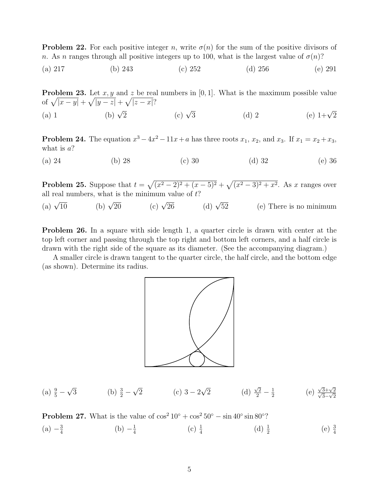**Problem 22.** For each positive integer n, write  $\sigma(n)$  for the sum of the positive divisors of n. As n ranges through all positive integers up to 100, what is the largest value of  $\sigma(n)$ ?

(a) 217 (b) 243 (c) 252 (d) 256 (e) 291

**Problem 23.** Let  $x, y$  and  $z$  be real numbers in [0, 1]. What is the maximum possible value of  $\sqrt{|x-y|} + \sqrt{|y-z|} + \sqrt{|z-x|}$ ? (a) 1 (b)  $\sqrt{2}$  $(c) \sqrt{3}$  $(d)$  2 (e)  $1+\sqrt{2}$ 

**Problem 24.** The equation  $x^3 - 4x^2 - 11x + a$  has three roots  $x_1, x_2$ , and  $x_3$ . If  $x_1 = x_2 + x_3$ , what is  $a$ ?

(a) 24 (b) 28 (c) 30 (d) 32 (e) 36

**Problem 25.** Suppose that  $t = \sqrt{(x^2 - 2)^2 + (x - 5)^2} + \sqrt{(x^2 - 3)^2 + x^2}$ . As x ranges over all real numbers, what is the minimum value of  $t$ ?

(a)  $\sqrt{10}$ (b)  $\sqrt{20}$ (c)  $\sqrt{26}$ (d)  $\sqrt{52}$ 52 (e) There is no minimum

**Problem 26.** In a square with side length 1, a quarter circle is drawn with center at the top left corner and passing through the top right and bottom left corners, and a half circle is drawn with the right side of the square as its diameter. (See the accompanying diagram.)

A smaller circle is drawn tangent to the quarter circle, the half circle, and the bottom edge (as shown). Determine its radius.



(a) 
$$
\frac{9}{5} - \sqrt{3}
$$
 (b)  $\frac{3}{2} - \sqrt{2}$  (c)  $3 - 2\sqrt{2}$  (d)  $\frac{\sqrt{2}}{2} - \frac{1}{2}$  (e)  $\frac{\sqrt{3} + \sqrt{2}}{\sqrt{3} - \sqrt{2}}$ 

**Problem 27.** What is the value of  $\cos^2 10^\circ + \cos^2 50^\circ - \sin 40^\circ \sin 80^\circ$ ?  $(a) -\frac{3}{4}$ 4  $(b) -\frac{1}{4}$  $\frac{1}{4}$  (c)  $\frac{1}{4}$  (d)  $\frac{1}{2}$  $(e)$   $\frac{3}{4}$